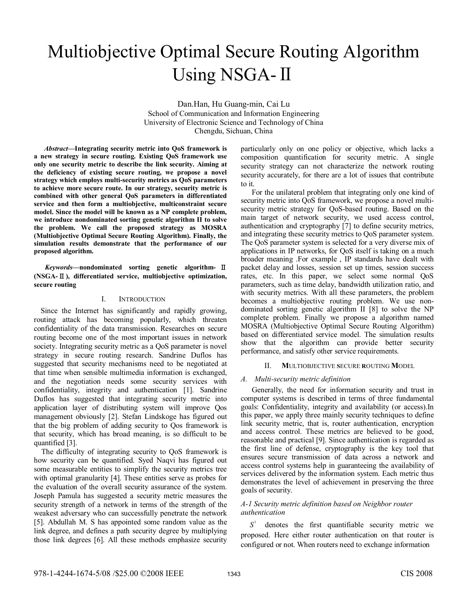# Multiobjective Optimal Secure Routing Algorithm Using NSGA-II

Dan.Han, Hu Guang-min, Cai Lu School of Communication and Information Engineering University of Electronic Science and Technology of China Chengdu, Sichuan, China

*Abstract***—Integrating security metric into QoS framework is a new strategy in secure routing. Existing QoS framework use only one security metric to describe the link security. Aiming at the deficiency of existing secure routing, we propose a novel strategy which employs multi-security metrics as QoS parameters to achieve more secure route. In our strategy, security metric is combined with other general QoS parameters in differentiated service and then form a multiobjective, multiconstraint secure model. Since the model will be known as a NP complete problem, we introduce nondominated sorting genetic algorithm II to solve the problem. We call the proposed strategy as MOSRA (Multiobjective Optimal Secure Routing Algorithm). Finally, the simulation results demonstrate that the performance of our proposed algorithm.** 

*Keywords—***nondominated sorting genetic algorithm-** Ⅱ **(NSGA-**Ⅱ**), differentiated service, multiobjective optimization, secure routing**

# I. INTRODUCTION

Since the Internet has significantly and rapidly growing, routing attack has becoming popularly, which threaten confidentiality of the data transmission. Researches on secure routing become one of the most important issues in network society. Integrating security metric as a QoS parameter is novel strategy in secure routing research. Sandrine Duflos has suggested that security mechanisms need to be negotiated at that time when sensible multimedia information is exchanged, and the negotiation needs some security services with confidentiality, integrity and authentication [1]. Sandrine Duflos has suggested that integrating security metric into application layer of distributing system will improve Qos management obviously [2]. Stefan Lindskoge has figured out that the big problem of adding security to Qos framework is that security, which has broad meaning, is so difficult to be quantified [3].

The difficulty of integrating security to QoS framework is how security can be quantified. Syed Naqvi has figured out some measurable entities to simplify the security metrics tree with optimal granularity [4]. These entities serve as probes for the evaluation of the overall security assurance of the system. Joseph Pamula has suggested a security metric measures the security strength of a network in terms of the strength of the weakest adversary who can successfully penetrate the network [5]. Abdullah M. S has appointed some random value as the link degree, and defines a path security degree by multiplying those link degrees [6]. All these methods emphasize security

particularly only on one policy or objective, which lacks a composition quantification for security metric. A single security strategy can not characterize the network routing security accurately, for there are a lot of issues that contribute to it.

For the unilateral problem that integrating only one kind of security metric into QoS framework, we propose a novel multisecurity metric strategy for QoS-based routing. Based on the main target of network security, we used access control, authentication and cryptography [7] to define security metrics, and integrating these security metrics to QoS parameter system. The QoS parameter system is selected for a very diverse mix of applications in IP networks, for QoS itself is taking on a much broader meaning .For example , IP standards have dealt with packet delay and losses, session set up times, session success rates, etc. In this paper, we select some normal QoS parameters, such as time delay, bandwidth utilization ratio, and with security metrics. With all these parameters, the problem becomes a multiobjective routing problem. We use nondominated sorting genetic algorithm II [8] to solve the NP complete problem. Finally we propose a algorithm named MOSRA (Multiobjective Optimal Secure Routing Algorithm) based on differentiated service model. The simulation results show that the algorithm can provide better security performance, and satisfy other service requirements.

## II. **M**ULTIOBJECTIVE **S**ECURE **R**OUTING **M**ODEL

## *A. Multi-security metric definition*

Generally, the need for information security and trust in computer systems is described in terms of three fundamental goals: Confidentiality, integrity and availability (or access).In this paper, we apply three mainly security techniques to define link security metric, that is, router authentication, encryption and access control. These metrics are believed to be good, reasonable and practical [9]. Since authentication is regarded as the first line of defense, cryptography is the key tool that ensures secure transmission of data across a network and access control systems help in guaranteeing the availability of services delivered by the information system. Each metric thus demonstrates the level of achievement in preserving the three goals of security.

# *A-1 Security metric definition based on Neighbor router authentication*

 $S^1$ denotes the first quantifiable security metric we proposed. Here either router authentication on that router is configured or not. When routers need to exchange information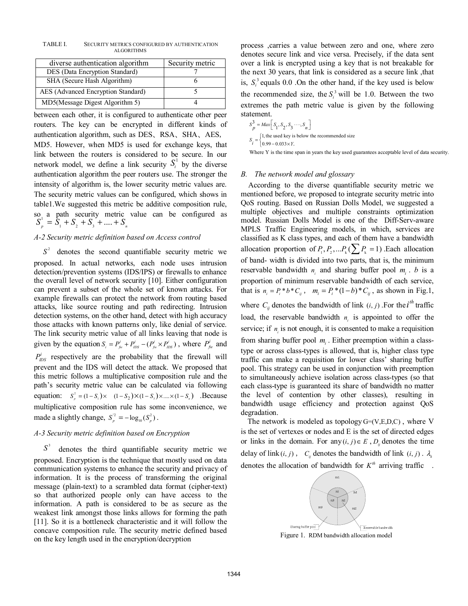TABLE I. SECURITY METRICS CONFIGURED BY AUTHENTICATION **ALGORITHMS** 

| diverse authentication algorithm   | Security metric |
|------------------------------------|-----------------|
| DES (Data Encryption Standard)     |                 |
| SHA (Secure Hash Algorithm)        |                 |
| AES (Advanced Encryption Standard) |                 |
| MD5(Message Digest Algorithm 5)    |                 |

between each other, it is configured to authenticate other peer routers. The key can be encrypted in different kinds of authentication algorithm, such as DES、RSA、SHA、AES, MD5. However, when MD5 is used for exchange keys, that link between the routers is considered to be secure. In our network model, we define a link security  $S_i^1$  by the diverse authentication algorithm the peer routers use. The stronger the intensity of algorithm is, the lower security metric values are. The security metric values can be configured, which shows in table1.We suggested this metric be additive composition rule, so a path security metric value can be configured as  $S_n^1 = \overline{S}_1 + S_2 + S_3 + \dots + S_n$ 

# *A-2 Security metric definition based on Access control*

 $S<sup>2</sup>$  denotes the second quantifiable security metric we proposed. In actual networks, each node uses intrusion detection/prevention systems (IDS/IPS) or firewalls to enhance the overall level of network security [10]. Either configuration can prevent a subset of the whole set of known attacks. For example firewalls can protect the network from routing based attacks, like source routing and path redirecting. Intrusion detection systems, on the other hand, detect with high accuracy those attacks with known patterns only, like denial of service. The link security metric value of all links leaving that node is given by the equation  $S_i = P_{fw}^i + P_{IDS}^i - (P_{fw}^i \times P_{IDS}^i)$ , where  $P_{fw}^i$  and  $P_{\text{IDS}}^i$  respectively are the probability that the firewall will prevent and the IDS will detect the attack. We proposed that this metric follows a multiplicative composition rule and the path's security metric value can be calculated via following equation:  $S_p^2 = (1 - S_1) \times (1 - S_2) \times (1 - S_3) \times ... \times (1 - S_n)$ . Because multiplicative composition rule has some inconvenience, we made a slightly change,  $S_p^2 = -\log_{10}(S_p^2)$ .

# *A-3 Security metric definition based on Encryption*

 $S^3$ denotes the third quantifiable security metric we proposed. Encryption is the technique that mostly used on data communication systems to enhance the security and privacy of information. It is the process of transforming the original message (plain-text) to a scrambled data format (cipher-text) so that authorized people only can have access to the information. A path is considered to be as secure as the weakest link amongst those links allows for forming the path [11]. So it is a bottleneck characteristic and it will follow the concave composition rule. The security metric defined based on the key length used in the encryption/decryption

process ,carries a value between zero and one, where zero denotes secure link and vice versa. Precisely, if the data sent over a link is encrypted using a key that is not breakable for the next 30 years, that link is considered as a secure link ,that is,  $S_i^3$  equals 0.0 .On the other hand, if the key used is below the recommended size, the  $S_i^3$  will be 1.0. Between the two extremes the path metric value is given by the following statement.

$$
S_{p}^{3} = Max \Big[ S_{1}, S_{2}, S_{3} \cdots, S_{n} \Big]
$$
  

$$
S_{i} = \begin{cases} 1, \text{ the used key is below the recommended size} \\ 0.99 - 0.033 \times Y, \end{cases}
$$

Where Y is the time span in years the key used guarantees acceptable level of data security.

#### *B. The network model and glossary*

According to the diverse quantifiable security metric we mentioned before, we proposed to integrate security metric into QoS routing. Based on Russian Dolls Model, we suggested a multiple objectives and multiple constraints optimization model. Russian Dolls Model is one of the Diff-Serv-aware MPLS Traffic Engineering models, in which, services are classified as K class types, and each of them have a bandwidth allocation proportion of  $P_1, P_2, \ldots P_k$  ( $\sum P_k = 1$ ) Each allocation of band- width is divided into two parts, that is, the minimum reservable bandwidth  $n_i$  and sharing buffer pool  $m_i$ . *b* is a proportion of minimum reservable bandwidth of each service, that is  $n_i = P_i * b * C_j$ ,  $m_i = P_i * (1 - b) * C_i$ , as shown in Fig.1, where  $C_{ij}$  denotes the bandwidth of link  $(i, j)$ . For the *i*<sup>th</sup> traffic load, the reservable bandwidth  $n_i$  is appointed to offer the service; if *n* is not enough, it is consented to make a requisition from sharing buffer pool  $m_i$ . Either preemption within a classtype or across class-types is allowed, that is, higher class type traffic can make a requisition for lower class' sharing buffer pool. This strategy can be used in conjunction with preemption to simultaneously achieve isolation across class-types (so that each class-type is guaranteed its share of bandwidth no matter the level of contention by other classes), resulting in bandwidth usage efficiency and protection against QoS degradation.

The network is modeled as topology  $G=(V,E,D,C)$ , where V is the set of vertexes or nodes and E is the set of directed edges or links in the domain. For any  $(i, j) \in E$ ,  $D_{ij}$  denotes the time delay of link  $(i, j)$ ,  $C_{ij}$  denotes the bandwidth of link  $(i, j)$ .  $\lambda_{k}$ denotes the allocation of bandwidth for  $K<sup>th</sup>$  arriving traffic .



Figure 1. RDM bandwidth allocation model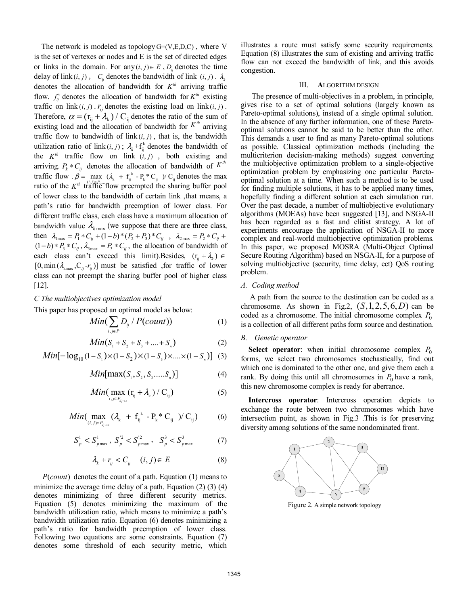The network is modeled as topology  $G=(V,E,D,C)$ , where V is the set of vertexes or nodes and E is the set of directed edges or links in the domain. For any  $(i, j) \in E$ ,  $D_{ij}$  denotes the time delay of link  $(i, j)$ ,  $C_{ij}$  denotes the bandwidth of link  $(i, j)$ .  $\lambda_{k}$ denotes the allocation of bandwidth for  $K<sup>th</sup>$  arriving traffic flow.  $f_i^k$  denotes the allocation of bandwidth for  $K^{th}$  existing traffic on link  $(i, j)$ .  $r_{ij}$  denotes the existing load on link  $(i, j)$ . Therefore,  $\alpha = (r_{ij} + \lambda_k) / C_{ij}$  denotes the ratio of the sum of existing load and the allocation of bandwidth for  $K^{\prime\prime\prime}$  arriving traffic flow to bandwidth of  $\text{link}(i, j)$ , that is, the bandwidth utilization ratio of link  $(i, j)$ ;  $\lambda_k + f_{ij}^k$  denotes the bandwidth of the  $K<sup>th</sup>$  traffic flow on link  $(i, j)$ , both existing and arriving.  $P_k * C_{ij}$  denotes the allocation of bandwidth of  $K^{th}$ traffic flow  $\beta = \max_{(A_k + f_j^k) \in P_k} (\lambda_k + f_j^k - P_k^* C_{ij}) / C_{ij}$  denotes the max ratio of the *K<sup>th</sup>* the *i*ker and the charing buffer need ratio of the  $K<sup>th</sup>$  traffic flow preempted the sharing buffer pool of lower class to the bandwidth of certain link ,that means, a path's ratio for bandwidth preemption of lower class. For different traffic class, each class have a maximum allocation of bandwidth value  $\lambda_{k \max}$  (we suppose that there are three class, then  $\lambda_{\text{max}} = P_1 * C_{ij} + (1-b)^* (P_2 + P_3)^* C_{ij}$ ,  $\lambda_{\text{max}} = P_2 * C_{ij}$  $(1-b)*P_3*C_{ij}$ ,  $\lambda_{3max} = P_3*C_{ij}$ , the allocation of bandwidth of each class can't exceed this limit).Besides,  $(r_{ij} + \lambda_k) \in$  $[0, \min (\lambda_{\text{kmax}}, C_{ii} - r_{ii})]$  must be satisfied , for traffic of lower class can not preempt the sharing buffer pool of higher class [12].

# *C The multiobjectives optimization model*

This paper has proposed an optimal model as below:

$$
Min(\sum_{i,j\in P} D_{ij} / P(count))
$$
 (1)

$$
Min(S_1 + S_2 + S_3 + \dots + S_n)
$$
 (2)

Min
$$
[-\log_{10}(1-S_1)\times(1-S_2)\times(1-S_3)\times\ldots\times(1-S_n)]
$$
 (3)

$$
Min[\max(S_1, S_2, S_3, \dots, S_n)] \tag{4}
$$

$$
Min(\max_{i,j \in P_{d_i \to s}} (r_{ij} + \lambda_k) / C_{ij})
$$
 (5)

$$
Min(\max_{(i,j)\in P_{d_i\to s}} (\lambda_k + f_{ij}^k - P_k * C_{ij}) / C_{ij})
$$
 (6)

$$
S_p^1 < S_{p\,\text{max}}^1 \,, \ S_p^{'2} < S_{p\,\text{max}}^{'2} \,, \quad S_p^3 < S_{p\,\text{max}}^3 \tag{7}
$$

$$
\lambda_k + r_{ij} < C_{ij} \quad (i, j) \in E \tag{8}
$$

 $P$ (*count*) denotes the count of a path. Equation (1) means to minimize the average time delay of a path. Equation  $(2)$   $(3)$   $(4)$ denotes minimizing of three different security metrics. Equation (5) denotes minimizing the maximum of the bandwidth utilization ratio, which means to minimize a path's bandwidth utilization ratio. Equation (6) denotes minimizing a path's ratio for bandwidth preemption of lower class. Following two equations are some constraints. Equation (7) denotes some threshold of each security metric, which illustrates a route must satisfy some security requirements. Equation (8) illustrates the sum of existing and arriving traffic flow can not exceed the bandwidth of link, and this avoids congestion.

#### III. **A**LGORITHM DESIGN

The presence of multi-objectives in a problem, in principle, gives rise to a set of optimal solutions (largely known as Pareto-optimal solutions), instead of a single optimal solution. In the absence of any further information, one of these Paretooptimal solutions cannot be said to be better than the other. This demands a user to find as many Pareto-optimal solutions as possible. Classical optimization methods (including the multicriterion decision-making methods) suggest converting the multiobjective optimization problem to a single-objective optimization problem by emphasizing one particular Paretooptimal solution at a time. When such a method is to be used for finding multiple solutions, it has to be applied many times, hopefully finding a different solution at each simulation run. Over the past decade, a number of multiobjective evolutionary algorithms (MOEAs) have been suggested [13], and NSGA-II has been regarded as a fast and elitist strategy. A lot of experiments encourage the application of NSGA-II to more complex and real-world multiobjective optimization problems. In this paper, we proposed MOSRA (Multi-Object Optimal Secure Routing Algorithm) based on NSGA-II, for a purpose of solving multiobjective (security, time delay, ect) QoS routing problem.

# *A. Coding method*

A path from the source to the destination can be coded as a chromosome. As shown in Fig.2,  $(S, 1, 2, 5, 6, D)$  can be coded as a chromosome. The initial chromosome complex  $P_0$ is a collection of all different paths form source and destination.

#### *B. Genetic operator*

**Select operator**: when initial chromosome complex  $P_0$ forms, we select two chromosomes stochastically, find out which one is dominated to the other one, and give them each a rank. By doing this until all chromosomes in  $P_0$  have a rank, this new chromosome complex is ready for aberrance.

**Intercross operator**: Intercross operation depicts to exchange the route between two chromosomes which have intersection point, as shown in Fig.3 .This is for preserving diversity among solutions of the same nondominated front.

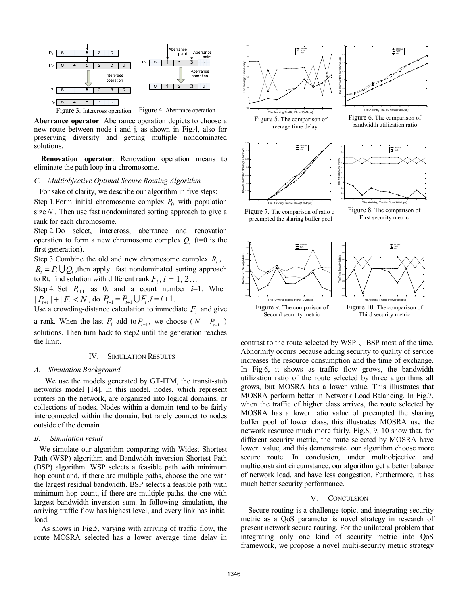

**Aberrance operator**: Aberrance operation depicts to choose a new route between node i and j, as shown in Fig.4, also for preserving diversity and getting multiple nondominated solutions.

**Renovation operator**: Renovation operation means to eliminate the path loop in a chromosome.

#### *C. Multiobjective Optimal Secure Routing Algorithm*

For sake of clarity, we describe our algorithm in five steps: Step 1. Form initial chromosome complex  $P_0$  with population size *N* . Then use fast nondominated sorting approach to give a

rank for each chromosome. Step 2.Do select, intercross, aberrance and renovation operation to form a new chromosome complex  $Q_t$  ( $t=0$  is the first generation).

Step 3. Combine the old and new chromosome complex  $R_t$ ,  $R_t = P_t \bigcup Q_t$ , then apply fast nondominated sorting approach to Rt, find solution with different rank  $F_i$ ,  $i = 1, 2...$ 

Step 4. Set  $P_{t+1}$  as 0, and a count number  $i=1$ . When  $| P_{i+1} | + | F_i | < N$ , do  $P_{i+1} = P_{i+1} \bigcup F_i$ ,  $i = i+1$ .

Use a crowding-distance calculation to immediate  $F_i$  and give a rank. When the last  $F_i$  add to  $P_{t+1}$ , we choose ( $N - |P_{t+1}|$ ) solutions. Then turn back to step2 until the generation reaches the limit.

#### IV. SIMULATION RESULTS

#### *A. Simulation Background*

We use the models generated by GT-ITM, the transit-stub networks model [14]. In this model, nodes, which represent routers on the network, are organized into logical domains, or collections of nodes. Nodes within a domain tend to be fairly interconnected within the domain, but rarely connect to nodes outside of the domain*.* 

#### *B. Simulation result*

We simulate our algorithm comparing with Widest Shortest Path (WSP) algorithm and Bandwidth-inversion Shortest Path (BSP) algorithm. WSP selects a feasible path with minimum hop count and, if there are multiple paths, choose the one with the largest residual bandwidth. BSP selects a feasible path with minimum hop count, if there are multiple paths, the one with largest bandwidth inversion sum. In following simulation, the arriving traffic flow has highest level, and every link has initial load.

As shows in Fig.5, varying with arriving of traffic flow, the route MOSRA selected has a lower average time delay in



contrast to the route selected by WSP 、BSP most of the time. Abnormity occurs because adding security to quality of service increases the resource consumption and the time of exchange. In Fig.6, it shows as traffic flow grows, the bandwidth utilization ratio of the route selected by three algorithms all grows, but MOSRA has a lower value. This illustrates that MOSRA perform better in Network Load Balancing. In Fig.7, when the traffic of higher class arrives, the route selected by MOSRA has a lower ratio value of preempted the sharing buffer pool of lower class, this illustrates MOSRA use the network resource much more fairly. Fig.8, 9, 10 show that, for different security metric, the route selected by MOSRA have lower value, and this demonstrate our algorithm choose more secure route. In conclusion, under multiobjective and multiconstraint circumstance, our algorithm get a better balance of network load, and have less congestion. Furthermore, it has much better security performance.

#### V. CONCULSION

Secure routing is a challenge topic, and integrating security metric as a QoS parameter is novel strategy in research of present network secure routing. For the unilateral problem that integrating only one kind of security metric into QoS framework, we propose a novel multi-security metric strategy